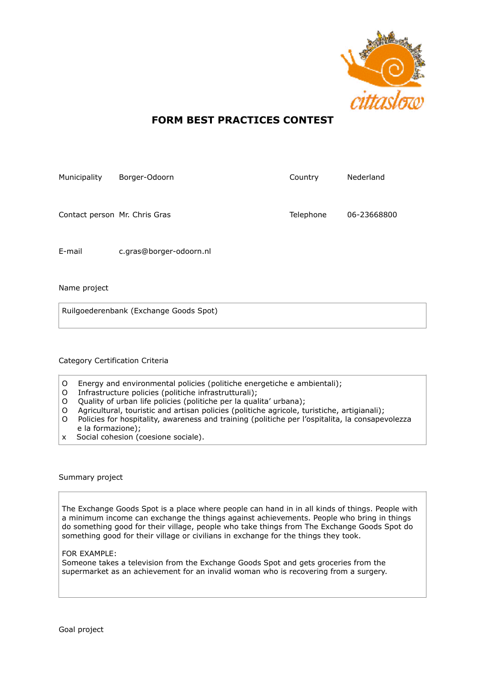

## **FORM BEST PRACTICES CONTEST**

| Municipality                  | Borger-Odoorn           | Country   | Nederland   |
|-------------------------------|-------------------------|-----------|-------------|
| Contact person Mr. Chris Gras |                         | Telephone | 06-23668800 |
| E-mail                        | c.gras@borger-odoorn.nl |           |             |

Name project

Ruilgoederenbank (Exchange Goods Spot)

## Category Certification Criteria

- O Energy and environmental policies (politiche energetiche e ambientali);
- O Infrastructure policies (politiche infrastrutturali);
- O Quality of urban life policies (politiche per la qualita' urbana);
- O Agricultural, touristic and artisan policies (politiche agricole, turistiche, artigianali);
- O Policies for hospitality, awareness and training (politiche per l'ospitalita, la consapevolezza e la formazione);
- x Social cohesion (coesione sociale).

## Summary project

The Exchange Goods Spot is a place where people can hand in in all kinds of things. People with a minimum income can exchange the things against achievements. People who bring in things do something good for their village, people who take things from The Exchange Goods Spot do something good for their village or civilians in exchange for the things they took.

## FOR EXAMPLE:

Someone takes a television from the Exchange Goods Spot and gets groceries from the supermarket as an achievement for an invalid woman who is recovering from a surgery.